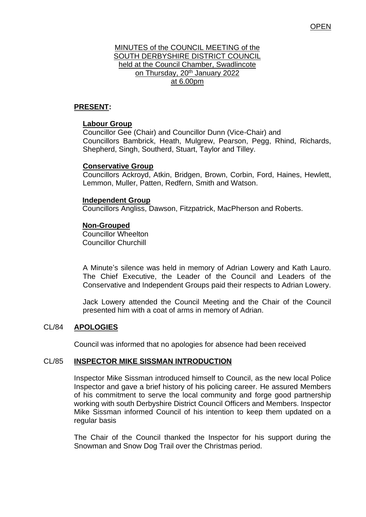### MINUTES of the COUNCIL MEETING of the SOUTH DERBYSHIRE DISTRICT COUNCIL held at the Council Chamber, Swadlincote on Thursday, 20<sup>th</sup> January 2022 at 6.00pm

# **PRESENT:**

## **Labour Group**

Councillor Gee (Chair) and Councillor Dunn (Vice-Chair) and Councillors Bambrick, Heath, Mulgrew, Pearson, Pegg, Rhind, Richards, Shepherd, Singh, Southerd, Stuart, Taylor and Tilley.

### **Conservative Group**

Councillors Ackroyd, Atkin, Bridgen, Brown, Corbin, Ford, Haines, Hewlett, Lemmon, Muller, Patten, Redfern, Smith and Watson.

### **Independent Group**

Councillors Angliss, Dawson, Fitzpatrick, MacPherson and Roberts.

### **Non-Grouped**

Councillor Wheelton Councillor Churchill

A Minute's silence was held in memory of Adrian Lowery and Kath Lauro. The Chief Executive, the Leader of the Council and Leaders of the Conservative and Independent Groups paid their respects to Adrian Lowery.

Jack Lowery attended the Council Meeting and the Chair of the Council presented him with a coat of arms in memory of Adrian.

# CL/84 **APOLOGIES**

Council was informed that no apologies for absence had been received

### CL/85 **INSPECTOR MIKE SISSMAN INTRODUCTION**

Inspector Mike Sissman introduced himself to Council, as the new local Police Inspector and gave a brief history of his policing career. He assured Members of his commitment to serve the local community and forge good partnership working with south Derbyshire District Council Officers and Members. Inspector Mike Sissman informed Council of his intention to keep them updated on a regular basis

The Chair of the Council thanked the Inspector for his support during the Snowman and Snow Dog Trail over the Christmas period.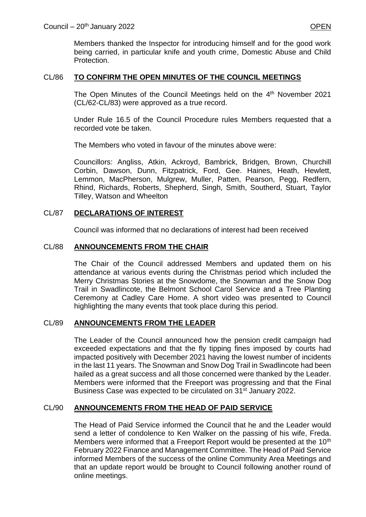Members thanked the Inspector for introducing himself and for the good work being carried, in particular knife and youth crime, Domestic Abuse and Child Protection.

### CL/86 **TO CONFIRM THE OPEN MINUTES OF THE COUNCIL MEETINGS**

The Open Minutes of the Council Meetings held on the 4<sup>th</sup> November 2021 (CL/62-CL/83) were approved as a true record.

Under Rule 16.5 of the Council Procedure rules Members requested that a recorded vote be taken.

The Members who voted in favour of the minutes above were:

Councillors: Angliss, Atkin, Ackroyd, Bambrick, Bridgen, Brown, Churchill Corbin, Dawson, Dunn, Fitzpatrick, Ford, Gee. Haines, Heath, Hewlett, Lemmon, MacPherson, Mulgrew, Muller, Patten, Pearson, Pegg, Redfern, Rhind, Richards, Roberts, Shepherd, Singh, Smith, Southerd, Stuart, Taylor Tilley, Watson and Wheelton

## CL/87 **DECLARATIONS OF INTEREST**

Council was informed that no declarations of interest had been received

## CL/88 **ANNOUNCEMENTS FROM THE CHAIR**

The Chair of the Council addressed Members and updated them on his attendance at various events during the Christmas period which included the Merry Christmas Stories at the Snowdome, the Snowman and the Snow Dog Trail in Swadlincote, the Belmont School Carol Service and a Tree Planting Ceremony at Cadley Care Home. A short video was presented to Council highlighting the many events that took place during this period.

### CL/89 **ANNOUNCEMENTS FROM THE LEADER**

The Leader of the Council announced how the pension credit campaign had exceeded expectations and that the fly tipping fines imposed by courts had impacted positively with December 2021 having the lowest number of incidents in the last 11 years. The Snowman and Snow Dog Trail in Swadlincote had been hailed as a great success and all those concerned were thanked by the Leader. Members were informed that the Freeport was progressing and that the Final Business Case was expected to be circulated on 31st January 2022.

### CL/90 **ANNOUNCEMENTS FROM THE HEAD OF PAID SERVICE**

The Head of Paid Service informed the Council that he and the Leader would send a letter of condolence to Ken Walker on the passing of his wife, Freda. Members were informed that a Freeport Report would be presented at the 10<sup>th</sup> February 2022 Finance and Management Committee. The Head of Paid Service informed Members of the success of the online Community Area Meetings and that an update report would be brought to Council following another round of online meetings.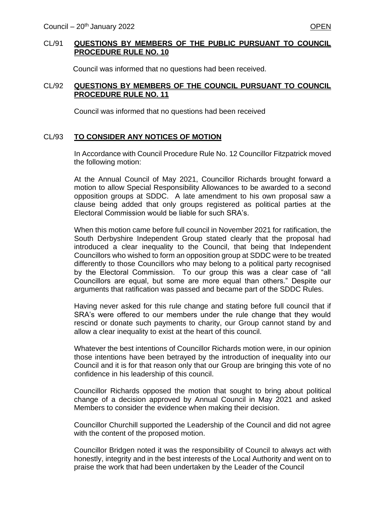#### CL/91 **QUESTIONS BY MEMBERS OF THE PUBLIC PURSUANT TO COUNCIL PROCEDURE RULE NO. 10**

Council was informed that no questions had been received.

#### CL/92 **QUESTIONS BY MEMBERS OF THE COUNCIL PURSUANT TO COUNCIL PROCEDURE RULE NO. 11**

Council was informed that no questions had been received

### CL/93 **TO CONSIDER ANY NOTICES OF MOTION**

In Accordance with Council Procedure Rule No. 12 Councillor Fitzpatrick moved the following motion:

At the Annual Council of May 2021, Councillor Richards brought forward a motion to allow Special Responsibility Allowances to be awarded to a second opposition groups at SDDC. A late amendment to his own proposal saw a clause being added that only groups registered as political parties at the Electoral Commission would be liable for such SRA's.

When this motion came before full council in November 2021 for ratification, the South Derbyshire Independent Group stated clearly that the proposal had introduced a clear inequality to the Council, that being that Independent Councillors who wished to form an opposition group at SDDC were to be treated differently to those Councillors who may belong to a political party recognised by the Electoral Commission. To our group this was a clear case of "all Councillors are equal, but some are more equal than others." Despite our arguments that ratification was passed and became part of the SDDC Rules.

Having never asked for this rule change and stating before full council that if SRA's were offered to our members under the rule change that they would rescind or donate such payments to charity, our Group cannot stand by and allow a clear inequality to exist at the heart of this council.

Whatever the best intentions of Councillor Richards motion were, in our opinion those intentions have been betrayed by the introduction of inequality into our Council and it is for that reason only that our Group are bringing this vote of no confidence in his leadership of this council.

Councillor Richards opposed the motion that sought to bring about political change of a decision approved by Annual Council in May 2021 and asked Members to consider the evidence when making their decision.

Councillor Churchill supported the Leadership of the Council and did not agree with the content of the proposed motion.

Councillor Bridgen noted it was the responsibility of Council to always act with honestly, integrity and in the best interests of the Local Authority and went on to praise the work that had been undertaken by the Leader of the Council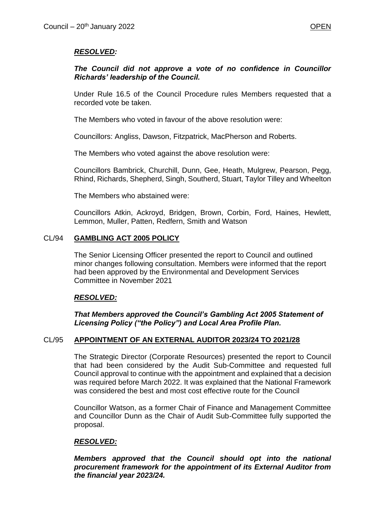# *RESOLVED:*

## *The Council did not approve a vote of no confidence in Councillor Richards' leadership of the Council.*

Under Rule 16.5 of the Council Procedure rules Members requested that a recorded vote be taken.

The Members who voted in favour of the above resolution were:

Councillors: Angliss, Dawson, Fitzpatrick, MacPherson and Roberts.

The Members who voted against the above resolution were:

Councillors Bambrick, Churchill, Dunn, Gee, Heath, Mulgrew, Pearson, Pegg, Rhind, Richards, Shepherd, Singh, Southerd, Stuart, Taylor Tilley and Wheelton

The Members who abstained were:

Councillors Atkin, Ackroyd, Bridgen, Brown, Corbin, Ford, Haines, Hewlett, Lemmon, Muller, Patten, Redfern, Smith and Watson

## CL/94 **GAMBLING ACT 2005 POLICY**

The Senior Licensing Officer presented the report to Council and outlined minor changes following consultation. Members were informed that the report had been approved by the Environmental and Development Services Committee in November 2021

# *RESOLVED:*

### *That Members approved the Council's Gambling Act 2005 Statement of Licensing Policy ("the Policy") and Local Area Profile Plan.*

### CL/95 **APPOINTMENT OF AN EXTERNAL AUDITOR 2023/24 TO 2021/28**

The Strategic Director (Corporate Resources) presented the report to Council that had been considered by the Audit Sub-Committee and requested full Council approval to continue with the appointment and explained that a decision was required before March 2022. It was explained that the National Framework was considered the best and most cost effective route for the Council

Councillor Watson, as a former Chair of Finance and Management Committee and Councillor Dunn as the Chair of Audit Sub-Committee fully supported the proposal.

### *RESOLVED:*

*Members approved that the Council should opt into the national procurement framework for the appointment of its External Auditor from the financial year 2023/24.*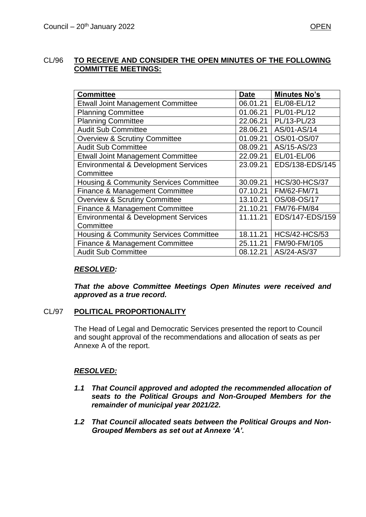### CL/96 **TO RECEIVE AND CONSIDER THE OPEN MINUTES OF THE FOLLOWING COMMITTEE MEETINGS:**

| <b>Committee</b>                                  | <b>Date</b> | <b>Minutes No's</b>  |
|---------------------------------------------------|-------------|----------------------|
| <b>Etwall Joint Management Committee</b>          | 06.01.21    | EL/08-EL/12          |
| <b>Planning Committee</b>                         | 01.06.21    | PL/01-PL/12          |
| <b>Planning Committee</b>                         | 22.06.21    | PL/13-PL/23          |
| <b>Audit Sub Committee</b>                        | 28.06.21    | AS/01-AS/14          |
| <b>Overview &amp; Scrutiny Committee</b>          | 01.09.21    | OS/01-OS/07          |
| <b>Audit Sub Committee</b>                        | 08.09.21    | AS/15-AS/23          |
| <b>Etwall Joint Management Committee</b>          | 22.09.21    | EL/01-EL/06          |
| <b>Environmental &amp; Development Services</b>   | 23.09.21    | EDS/138-EDS/145      |
| Committee                                         |             |                      |
| <b>Housing &amp; Community Services Committee</b> | 30.09.21    | <b>HCS/30-HCS/37</b> |
| <b>Finance &amp; Management Committee</b>         | 07.10.21    | FM/62-FM/71          |
| <b>Overview &amp; Scrutiny Committee</b>          | 13.10.21    | OS/08-OS/17          |
| Finance & Management Committee                    | 21.10.21    | FM/76-FM/84          |
| <b>Environmental &amp; Development Services</b>   | 11.11.21    | EDS/147-EDS/159      |
| Committee                                         |             |                      |
| <b>Housing &amp; Community Services Committee</b> | 18.11.21    | <b>HCS/42-HCS/53</b> |
| <b>Finance &amp; Management Committee</b>         | 25.11.21    | FM/90-FM/105         |
| <b>Audit Sub Committee</b>                        | 08.12.21    | AS/24-AS/37          |

### *RESOLVED:*

*That the above Committee Meetings Open Minutes were received and approved as a true record.*

### CL/97 **POLITICAL PROPORTIONALITY**

The Head of Legal and Democratic Services presented the report to Council and sought approval of the recommendations and allocation of seats as per Annexe A of the report.

### *RESOLVED:*

- *1.1 That Council approved and adopted the recommended allocation of seats to the Political Groups and Non-Grouped Members for the remainder of municipal year 2021/22.*
- *1.2 That Council allocated seats between the Political Groups and Non-Grouped Members as set out at Annexe 'A'.*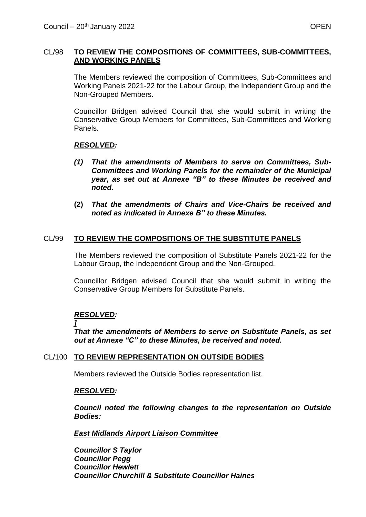### CL/98 **TO REVIEW THE COMPOSITIONS OF COMMITTEES, SUB-COMMITTEES, AND WORKING PANELS**

The Members reviewed the composition of Committees, Sub-Committees and Working Panels 2021-22 for the Labour Group, the Independent Group and the Non-Grouped Members.

Councillor Bridgen advised Council that she would submit in writing the Conservative Group Members for Committees, Sub-Committees and Working Panels.

## *RESOLVED:*

- *(1) That the amendments of Members to serve on Committees, Sub-Committees and Working Panels for the remainder of the Municipal year, as set out at Annexe "B" to these Minutes be received and noted.*
- **(2)** *That the amendments of Chairs and Vice-Chairs be received and noted as indicated in Annexe B" to these Minutes.*

## CL/99 **TO REVIEW THE COMPOSITIONS OF THE SUBSTITUTE PANELS**

The Members reviewed the composition of Substitute Panels 2021-22 for the Labour Group, the Independent Group and the Non-Grouped.

Councillor Bridgen advised Council that she would submit in writing the Conservative Group Members for Substitute Panels.

# *RESOLVED:*

*]*

*That the amendments of Members to serve on Substitute Panels, as set out at Annexe "C" to these Minutes, be received and noted.*

### CL/100 **TO REVIEW REPRESENTATION ON OUTSIDE BODIES**

Members reviewed the Outside Bodies representation list.

### *RESOLVED:*

*Council noted the following changes to the representation on Outside Bodies:* 

### *East Midlands Airport Liaison Committee*

*Councillor S Taylor Councillor Pegg Councillor Hewlett Councillor Churchill & Substitute Councillor Haines*